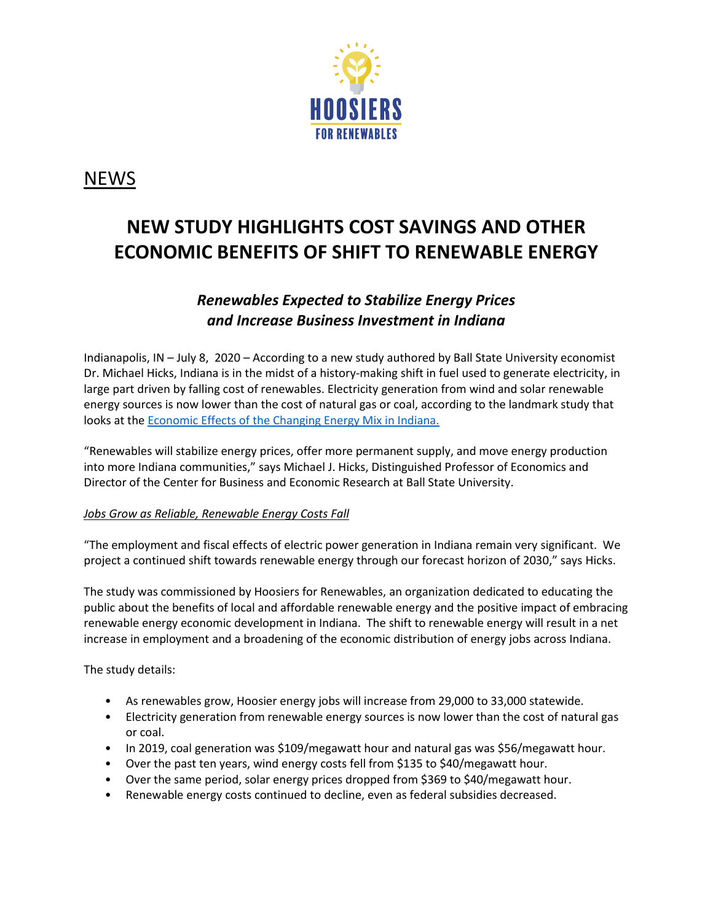

## NEWS

# **NEW STUDY HIGHLIGHTS COST SAVINGS AND OTHER ECONOMIC BENEFITS OF SHIFT TO RENEWABLE ENERGY**

### *Renewables Expected to Stabilize Energy Prices and Increase Business Investment in Indiana*

Indianapolis, IN – July 8, 2020 – According to a new study authored by Ball State University economist Dr. Michael Hicks, Indiana is in the midst of a history-making shift in fuel used to generate electricity, in large part driven by falling cost of renewables. Electricity generation from wind and solar renewable energy sources is now lower than the cost of natural gas or coal, according to the landmark study that looks at the [Economic Effects of the Changing Energy Mix in Indiana.](https://projects.cberdata.org/175/economic-effects-of-the-changing-energy-mix-in-indiana) 

"Renewables will stabilize energy prices, offer more permanent supply, and move energy production into more Indiana communities," says Michael J. Hicks, Distinguished Professor of Economics and Director of the Center for Business and Economic Research at Ball State University.

#### *Jobs Grow as Reliable, Renewable Energy Costs Fall*

"The employment and fiscal effects of electric power generation in Indiana remain very significant. We project a continued shift towards renewable energy through our forecast horizon of 2030," says Hicks.

The study was commissioned by Hoosiers for Renewables, an organization dedicated to educating the public about the benefits of local and affordable renewable energy and the positive impact of embracing renewable energy economic development in Indiana. The shift to renewable energy will result in a net increase in employment and a broadening of the economic distribution of energy jobs across Indiana.

The study details:

- As renewables grow, Hoosier energy jobs will increase from 29,000 to 33,000 statewide.
- Electricity generation from renewable energy sources is now lower than the cost of natural gas or coal.
- In 2019, coal generation was \$109/megawatt hour and natural gas was \$56/megawatt hour.
- Over the past ten years, wind energy costs fell from \$135 to \$40/megawatt hour.
- Over the same period, solar energy prices dropped from \$369 to \$40/megawatt hour.
- Renewable energy costs continued to decline, even as federal subsidies decreased.